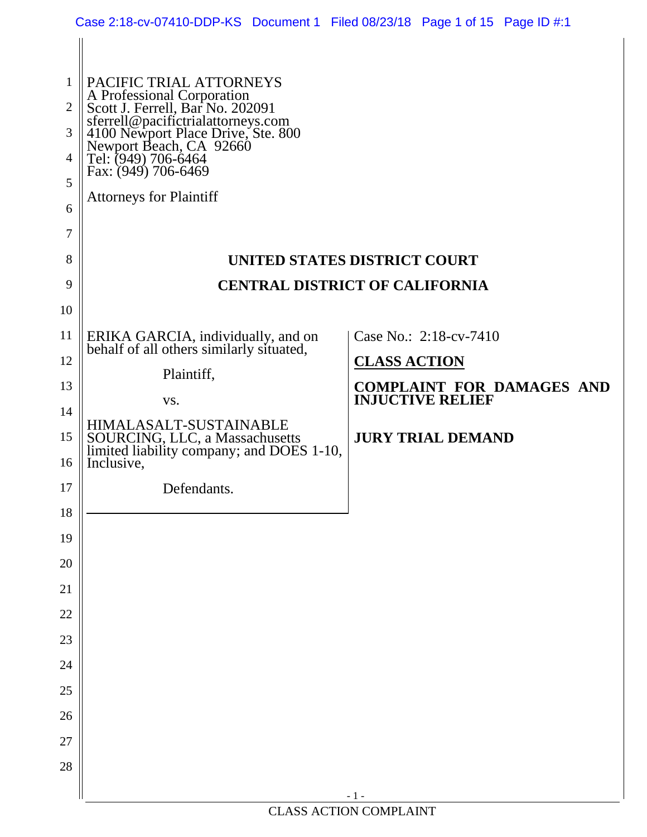|                | Case 2:18-cv-07410-DDP-KS Document 1 Filed 08/23/18 Page 1 of 15 Page ID #:1              |                                                             |
|----------------|-------------------------------------------------------------------------------------------|-------------------------------------------------------------|
| 1              | PACIFIC TRIAL ATTORNEYS                                                                   |                                                             |
| $\overline{2}$ | A Professional Corporation<br>Scott J. Ferrell, Bar No. 202091                            |                                                             |
| 3              | sferrell@pacifictrialattorneys.com<br>4100 Newport Place Drive, Ste. 800                  |                                                             |
| 4              | Newport Beach, CA 92660<br>Tel: (949) 706-6464<br>Fax: (949) 706-6469                     |                                                             |
| 5              | <b>Attorneys for Plaintiff</b>                                                            |                                                             |
| 6              |                                                                                           |                                                             |
| 7              |                                                                                           |                                                             |
| 8              |                                                                                           | UNITED STATES DISTRICT COURT                                |
| 9              |                                                                                           | <b>CENTRAL DISTRICT OF CALIFORNIA</b>                       |
| 10             |                                                                                           |                                                             |
| 11             | ERIKA GARCIA, individually, and on<br>behalf of all others similarly situated,            | Case No.: 2:18-cv-7410                                      |
| 12             | Plaintiff,                                                                                | <b>CLASS ACTION</b>                                         |
| 13             | VS.                                                                                       | <b>COMPLAINT FOR DAMAGES AND</b><br><b>INJUCTIVE RELIEF</b> |
| 14             | HIMALASALT-SUSTAINABLE                                                                    |                                                             |
| 15<br>16       | SOURCING, LLC, a Massachusetts<br>limited liability company; and DOES 1-10,<br>Inclusive, | <b>JURY TRIAL DEMAND</b>                                    |
| 17             | Defendants.                                                                               |                                                             |
| 18             |                                                                                           |                                                             |
| 19             |                                                                                           |                                                             |
| 20             |                                                                                           |                                                             |
| 21             |                                                                                           |                                                             |
| $22\,$         |                                                                                           |                                                             |
| $23\,$         |                                                                                           |                                                             |
| 24             |                                                                                           |                                                             |
| 25             |                                                                                           |                                                             |
| 26             |                                                                                           |                                                             |
| $27\,$         |                                                                                           |                                                             |
| 28             |                                                                                           |                                                             |
|                |                                                                                           | $-1-$                                                       |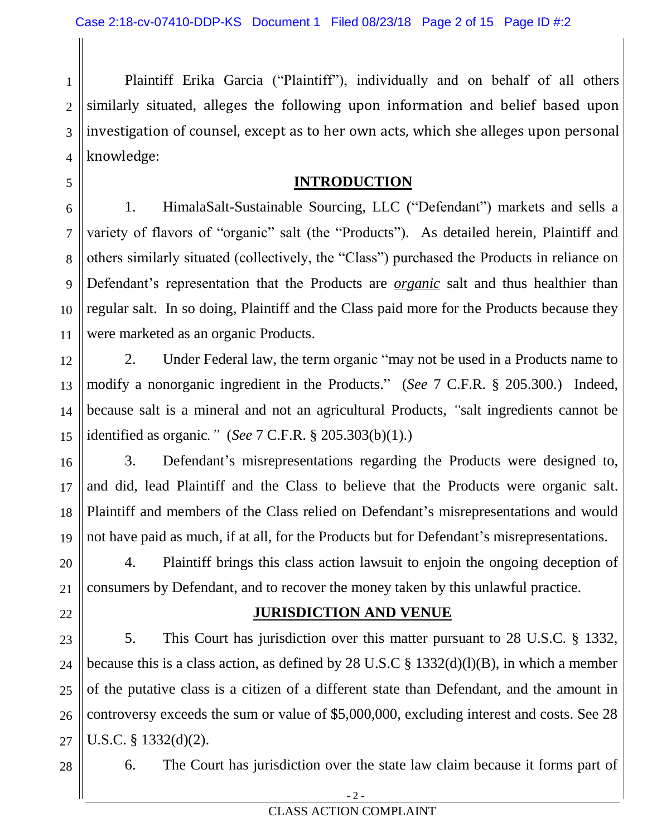1 2 3 4 Plaintiff Erika Garcia ("Plaintiff"), individually and on behalf of all others similarly situated, alleges the following upon information and belief based upon investigation of counsel, except as to her own acts, which she alleges upon personal knowledge:

### **INTRODUCTION**

6 7 8 9 10 11 1. HimalaSalt-Sustainable Sourcing, LLC ("Defendant") markets and sells a variety of flavors of "organic" salt (the "Products"). As detailed herein, Plaintiff and others similarly situated (collectively, the "Class") purchased the Products in reliance on Defendant's representation that the Products are *organic* salt and thus healthier than regular salt. In so doing, Plaintiff and the Class paid more for the Products because they were marketed as an organic Products.

12 13 14 15 2. Under Federal law, the term organic "may not be used in a Products name to modify a nonorganic ingredient in the Products." (*See* 7 C.F.R. § 205.300.) Indeed, because salt is a mineral and not an agricultural Products, *"*salt ingredients cannot be identified as organic*."* (*See* 7 C.F.R. § 205.303(b)(1).)

16 17 18 19 3. Defendant's misrepresentations regarding the Products were designed to, and did, lead Plaintiff and the Class to believe that the Products were organic salt. Plaintiff and members of the Class relied on Defendant's misrepresentations and would not have paid as much, if at all, for the Products but for Defendant's misrepresentations.

20 21 4. Plaintiff brings this class action lawsuit to enjoin the ongoing deception of consumers by Defendant, and to recover the money taken by this unlawful practice.

#### **JURISDICTION AND VENUE**

23 24 25 26 27 5. This Court has jurisdiction over this matter pursuant to 28 U.S.C. § 1332, because this is a class action, as defined by 28 U.S.C  $\S$  1332(d)(l)(B), in which a member of the putative class is a citizen of a different state than Defendant, and the amount in controversy exceeds the sum or value of \$5,000,000, excluding interest and costs. See 28 U.S.C. § 1332(d)(2).

28

22

5

6. The Court has jurisdiction over the state law claim because it forms part of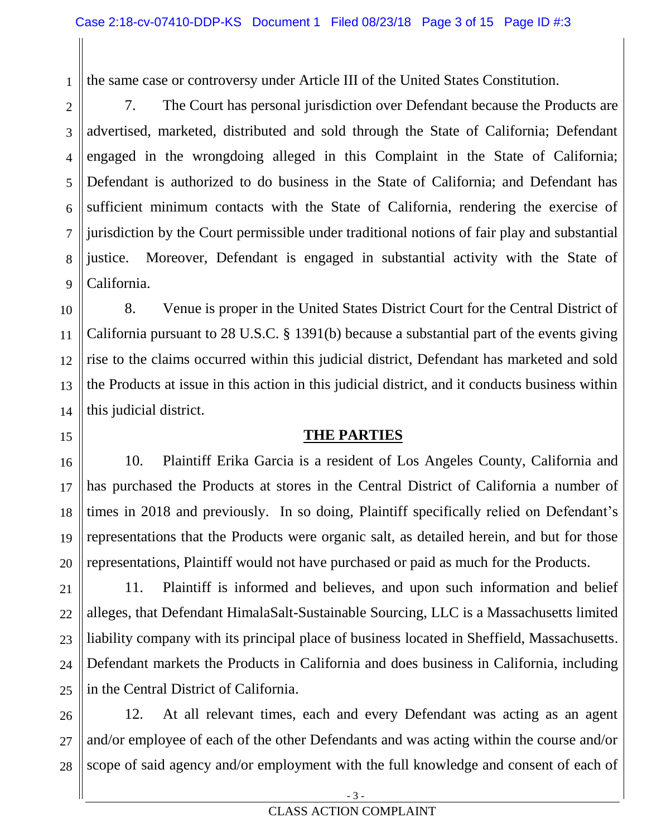the same case or controversy under Article III of the United States Constitution.

1

15

16

17

18

19

20

21

2 3 4 5 6 7 8 9 7. The Court has personal jurisdiction over Defendant because the Products are advertised, marketed, distributed and sold through the State of California; Defendant engaged in the wrongdoing alleged in this Complaint in the State of California; Defendant is authorized to do business in the State of California; and Defendant has sufficient minimum contacts with the State of California, rendering the exercise of jurisdiction by the Court permissible under traditional notions of fair play and substantial justice. Moreover, Defendant is engaged in substantial activity with the State of California.

10 11 12 13 14 8. Venue is proper in the United States District Court for the Central District of California pursuant to 28 U.S.C. § 1391(b) because a substantial part of the events giving rise to the claims occurred within this judicial district, Defendant has marketed and sold the Products at issue in this action in this judicial district, and it conducts business within this judicial district.

### **THE PARTIES**

10. Plaintiff Erika Garcia is a resident of Los Angeles County, California and has purchased the Products at stores in the Central District of California a number of times in 2018 and previously. In so doing, Plaintiff specifically relied on Defendant's representations that the Products were organic salt, as detailed herein, and but for those representations, Plaintiff would not have purchased or paid as much for the Products.

22 23 24 25 11. Plaintiff is informed and believes, and upon such information and belief alleges, that Defendant HimalaSalt-Sustainable Sourcing, LLC is a Massachusetts limited liability company with its principal place of business located in Sheffield, Massachusetts. Defendant markets the Products in California and does business in California, including in the Central District of California.

26 27 28 12. At all relevant times, each and every Defendant was acting as an agent and/or employee of each of the other Defendants and was acting within the course and/or scope of said agency and/or employment with the full knowledge and consent of each of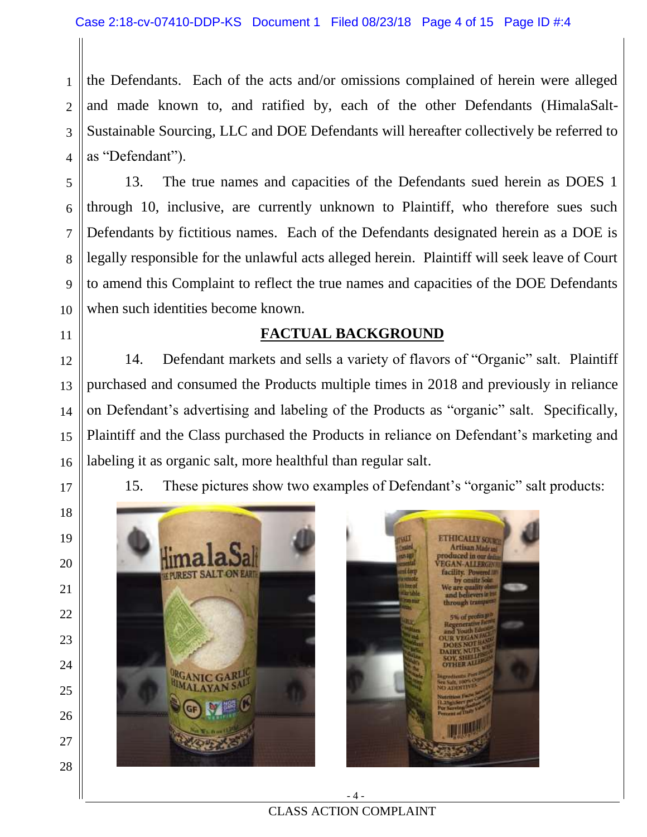1 2 3 4 the Defendants. Each of the acts and/or omissions complained of herein were alleged and made known to, and ratified by, each of the other Defendants (HimalaSalt-Sustainable Sourcing, LLC and DOE Defendants will hereafter collectively be referred to as "Defendant").

13. The true names and capacities of the Defendants sued herein as DOES 1 through 10, inclusive, are currently unknown to Plaintiff, who therefore sues such Defendants by fictitious names. Each of the Defendants designated herein as a DOE is legally responsible for the unlawful acts alleged herein. Plaintiff will seek leave of Court to amend this Complaint to reflect the true names and capacities of the DOE Defendants when such identities become known.

### **FACTUAL BACKGROUND**

12 13 14 15 16 14. Defendant markets and sells a variety of flavors of "Organic" salt. Plaintiff purchased and consumed the Products multiple times in 2018 and previously in reliance on Defendant's advertising and labeling of the Products as "organic" salt. Specifically, Plaintiff and the Class purchased the Products in reliance on Defendant's marketing and labeling it as organic salt, more healthful than regular salt.

15. These pictures show two examples of Defendant's "organic" salt products:



5

6

7

8

9

10

11

17

18

19

20

21

22

23

24

25

26

27

28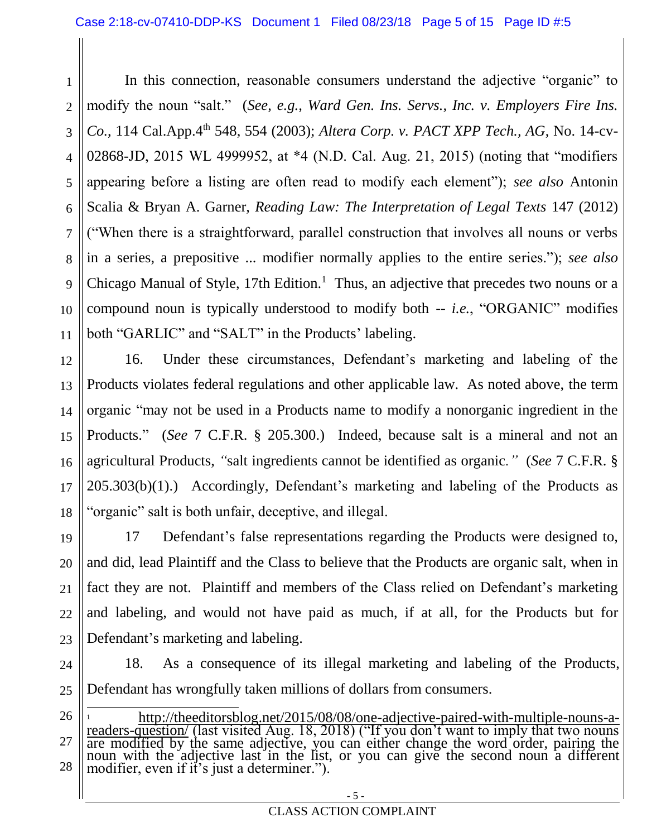1 2 3 4 5 6 7 8 9 10 11 In this connection, reasonable consumers understand the adjective "organic" to modify the noun "salt." (*See, e.g., Ward Gen. Ins. Servs., Inc. v. Employers Fire Ins. Co.*, 114 Cal.App.4<sup>th</sup> 548, 554 (2003); *Altera Corp. v. PACT XPP Tech., AG*, No. 14-cv-02868-JD, 2015 WL 4999952, at \*4 (N.D. Cal. Aug. 21, 2015) (noting that "modifiers appearing before a listing are often read to modify each element"); *see also* Antonin Scalia & Bryan A. Garner, *Reading Law: The Interpretation of Legal Texts* 147 (2012) ("When there is a straightforward, parallel construction that involves all nouns or verbs in a series, a prepositive ... modifier normally applies to the entire series."); *see also* Chicago Manual of Style, 17th Edition.<sup>1</sup> Thus, an adjective that precedes two nouns or a compound noun is typically understood to modify both -- *i.e.*, "ORGANIC" modifies both "GARLIC" and "SALT" in the Products' labeling.

12 13 14 15 16 17 18 16. Under these circumstances, Defendant's marketing and labeling of the Products violates federal regulations and other applicable law. As noted above, the term organic "may not be used in a Products name to modify a nonorganic ingredient in the Products." (*See* 7 C.F.R. § 205.300.) Indeed, because salt is a mineral and not an agricultural Products, *"*salt ingredients cannot be identified as organic*."* (*See* 7 C.F.R. § 205.303(b)(1).) Accordingly, Defendant's marketing and labeling of the Products as "organic" salt is both unfair, deceptive, and illegal.

19 20 21 22 23 17 Defendant's false representations regarding the Products were designed to, and did, lead Plaintiff and the Class to believe that the Products are organic salt, when in fact they are not. Plaintiff and members of the Class relied on Defendant's marketing and labeling, and would not have paid as much, if at all, for the Products but for Defendant's marketing and labeling.

24 25 18. As a consequence of its illegal marketing and labeling of the Products, Defendant has wrongfully taken millions of dollars from consumers.

26 27 28 l <sup>1</sup> [http://theeditorsblog.net/2015/08/08/one-adjective-paired-with-multiple-nouns-a](http://theeditorsblog.net/2015/08/08/one-adjective-paired-with-multiple-nouns-a-readers-question/)[readers-question/](http://theeditorsblog.net/2015/08/08/one-adjective-paired-with-multiple-nouns-a-readers-question/) (last visited Aug. 18, 2018) ("If you don't want to imply that two nouns are modified by the same adjective, you can either change the word order, pairing the noun with the adjective last in the list, or you can give the second noun a different modifier, even if it's just a determiner.").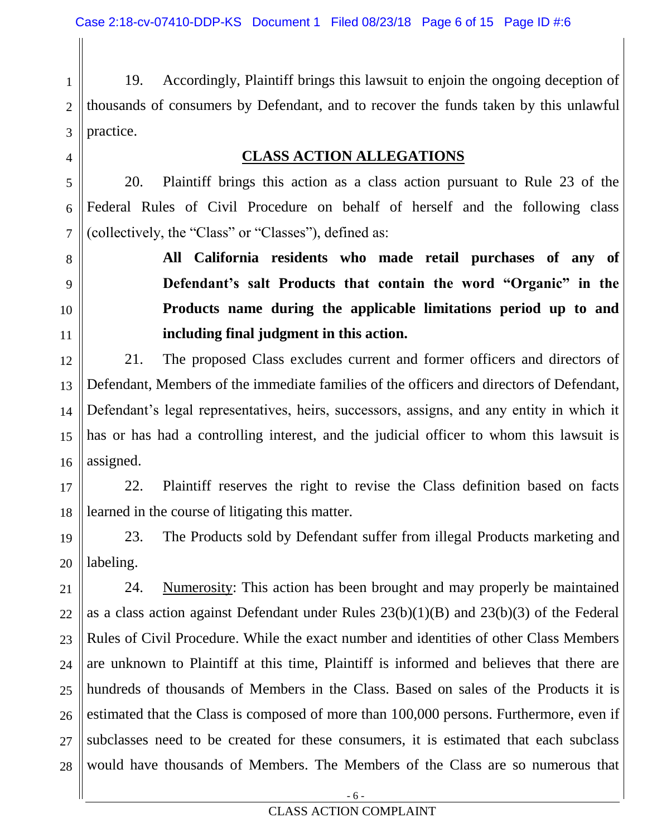4

5

6

7

8

9

10

11

1 2 3 19. Accordingly, Plaintiff brings this lawsuit to enjoin the ongoing deception of thousands of consumers by Defendant, and to recover the funds taken by this unlawful practice.

#### **CLASS ACTION ALLEGATIONS**

20. Plaintiff brings this action as a class action pursuant to Rule 23 of the Federal Rules of Civil Procedure on behalf of herself and the following class (collectively, the "Class" or "Classes"), defined as:

> **All California residents who made retail purchases of any of Defendant's salt Products that contain the word "Organic" in the Products name during the applicable limitations period up to and including final judgment in this action.**

12 13 14 15 16 21. The proposed Class excludes current and former officers and directors of Defendant, Members of the immediate families of the officers and directors of Defendant, Defendant's legal representatives, heirs, successors, assigns, and any entity in which it has or has had a controlling interest, and the judicial officer to whom this lawsuit is assigned.

17 18 22. Plaintiff reserves the right to revise the Class definition based on facts learned in the course of litigating this matter.

19 20 23. The Products sold by Defendant suffer from illegal Products marketing and labeling.

21 22 23 24 25 26 27 28 24. Numerosity: This action has been brought and may properly be maintained as a class action against Defendant under Rules 23(b)(1)(B) and 23(b)(3) of the Federal Rules of Civil Procedure. While the exact number and identities of other Class Members are unknown to Plaintiff at this time, Plaintiff is informed and believes that there are hundreds of thousands of Members in the Class. Based on sales of the Products it is estimated that the Class is composed of more than 100,000 persons. Furthermore, even if subclasses need to be created for these consumers, it is estimated that each subclass would have thousands of Members. The Members of the Class are so numerous that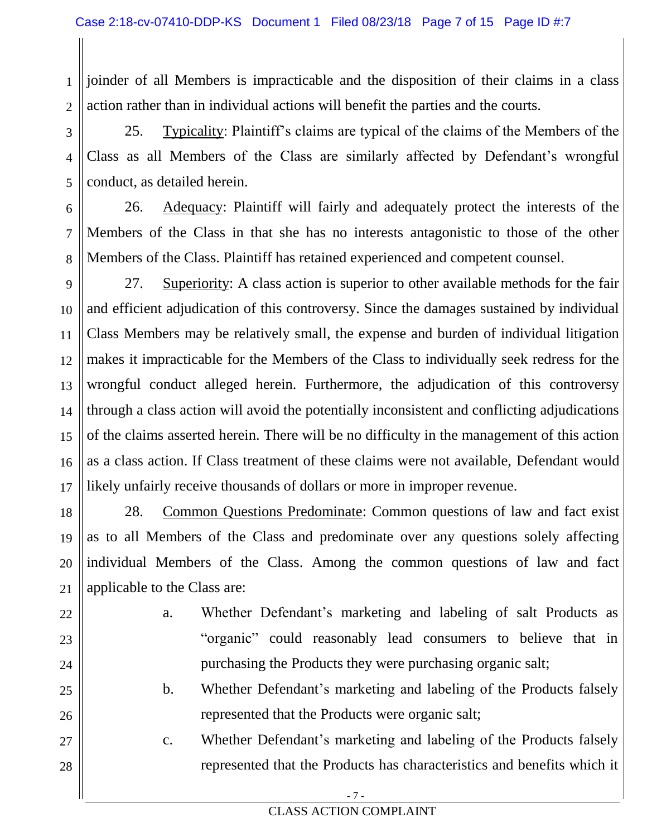1 2 joinder of all Members is impracticable and the disposition of their claims in a class action rather than in individual actions will benefit the parties and the courts.

3 4 5 25. Typicality: Plaintiff's claims are typical of the claims of the Members of the Class as all Members of the Class are similarly affected by Defendant's wrongful conduct, as detailed herein.

6 7 8 26. Adequacy: Plaintiff will fairly and adequately protect the interests of the Members of the Class in that she has no interests antagonistic to those of the other Members of the Class. Plaintiff has retained experienced and competent counsel.

9 10 11 12 13 14 15 16 17 27. Superiority: A class action is superior to other available methods for the fair and efficient adjudication of this controversy. Since the damages sustained by individual Class Members may be relatively small, the expense and burden of individual litigation makes it impracticable for the Members of the Class to individually seek redress for the wrongful conduct alleged herein. Furthermore, the adjudication of this controversy through a class action will avoid the potentially inconsistent and conflicting adjudications of the claims asserted herein. There will be no difficulty in the management of this action as a class action. If Class treatment of these claims were not available, Defendant would likely unfairly receive thousands of dollars or more in improper revenue.

18 19 20 21 28. Common Questions Predominate: Common questions of law and fact exist as to all Members of the Class and predominate over any questions solely affecting individual Members of the Class. Among the common questions of law and fact applicable to the Class are:

22 23

24

25

26

27

28

- a. Whether Defendant's marketing and labeling of salt Products as "organic" could reasonably lead consumers to believe that in purchasing the Products they were purchasing organic salt;
- b. Whether Defendant's marketing and labeling of the Products falsely represented that the Products were organic salt;
- c. Whether Defendant's marketing and labeling of the Products falsely represented that the Products has characteristics and benefits which it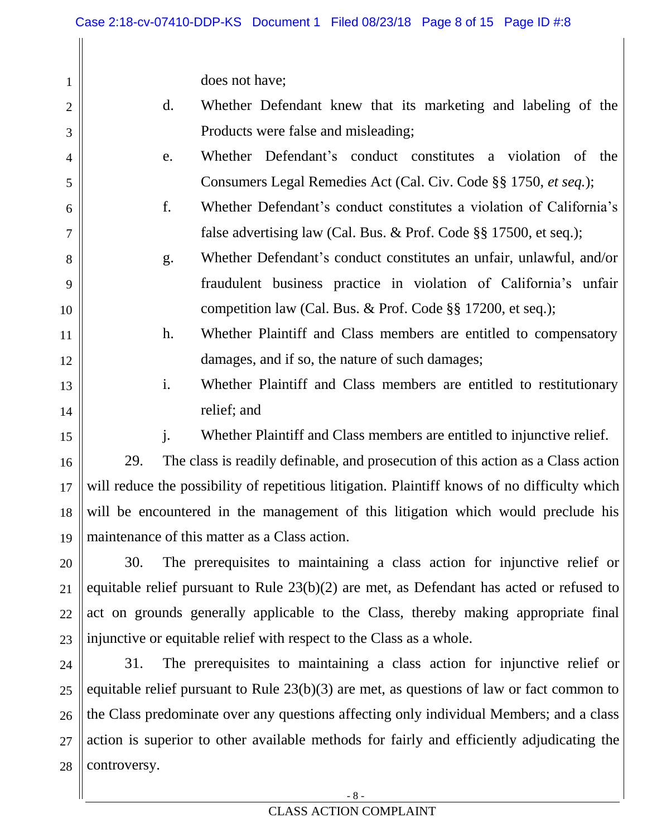does not have;

| d. | Whether Defendant knew that its marketing and labeling of the |  |  |  |  |
|----|---------------------------------------------------------------|--|--|--|--|
|    | Products were false and misleading;                           |  |  |  |  |

- e. Whether Defendant's conduct constitutes a violation of the Consumers Legal Remedies Act (Cal. Civ. Code §§ 1750, *et seq.*);
- f. Whether Defendant's conduct constitutes a violation of California's false advertising law (Cal. Bus. & Prof. Code §§ 17500, et seq.);
- g. Whether Defendant's conduct constitutes an unfair, unlawful, and/or fraudulent business practice in violation of California's unfair competition law (Cal. Bus. & Prof. Code §§ 17200, et seq.);
- h. Whether Plaintiff and Class members are entitled to compensatory damages, and if so, the nature of such damages;
- i. Whether Plaintiff and Class members are entitled to restitutionary relief; and

14 15

16

17

18

19

1

2

3

4

5

6

7

8

9

10

11

12

13

j. Whether Plaintiff and Class members are entitled to injunctive relief.

29. The class is readily definable, and prosecution of this action as a Class action will reduce the possibility of repetitious litigation. Plaintiff knows of no difficulty which will be encountered in the management of this litigation which would preclude his maintenance of this matter as a Class action.

20 21 22 23 30. The prerequisites to maintaining a class action for injunctive relief or equitable relief pursuant to Rule 23(b)(2) are met, as Defendant has acted or refused to act on grounds generally applicable to the Class, thereby making appropriate final injunctive or equitable relief with respect to the Class as a whole.

24 25 26 27 28 31. The prerequisites to maintaining a class action for injunctive relief or equitable relief pursuant to Rule 23(b)(3) are met, as questions of law or fact common to the Class predominate over any questions affecting only individual Members; and a class action is superior to other available methods for fairly and efficiently adjudicating the controversy.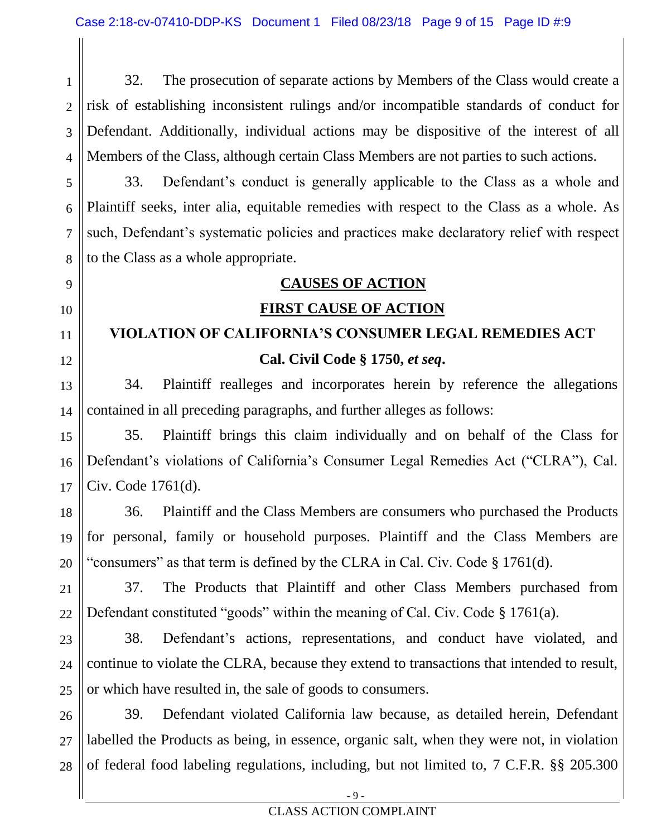1 2 3 4 32. The prosecution of separate actions by Members of the Class would create a risk of establishing inconsistent rulings and/or incompatible standards of conduct for Defendant. Additionally, individual actions may be dispositive of the interest of all Members of the Class, although certain Class Members are not parties to such actions.

5 6 7 8 33. Defendant's conduct is generally applicable to the Class as a whole and Plaintiff seeks, inter alia, equitable remedies with respect to the Class as a whole. As such, Defendant's systematic policies and practices make declaratory relief with respect to the Class as a whole appropriate.

# **CAUSES OF ACTION**

### **FIRST CAUSE OF ACTION**

# **VIOLATION OF CALIFORNIA'S CONSUMER LEGAL REMEDIES ACT Cal. Civil Code § 1750,** *et seq***.**

34. Plaintiff realleges and incorporates herein by reference the allegations contained in all preceding paragraphs, and further alleges as follows:

15 35. Plaintiff brings this claim individually and on behalf of the Class for Defendant's violations of California's Consumer Legal Remedies Act ("CLRA"), Cal. Civ. Code 1761(d).

36. Plaintiff and the Class Members are consumers who purchased the Products for personal, family or household purposes. Plaintiff and the Class Members are "consumers" as that term is defined by the CLRA in Cal. Civ. Code § 1761(d).

37. The Products that Plaintiff and other Class Members purchased from Defendant constituted "goods" within the meaning of Cal. Civ. Code § 1761(a).

23 24 25 38. Defendant's actions, representations, and conduct have violated, and continue to violate the CLRA, because they extend to transactions that intended to result, or which have resulted in, the sale of goods to consumers.

26 27 28 39. Defendant violated California law because, as detailed herein, Defendant labelled the Products as being, in essence, organic salt, when they were not, in violation of federal food labeling regulations, including, but not limited to, 7 C.F.R. §§ 205.300

### 12 13

14

9

10

11

- 16
- 17 18

19

20

21

22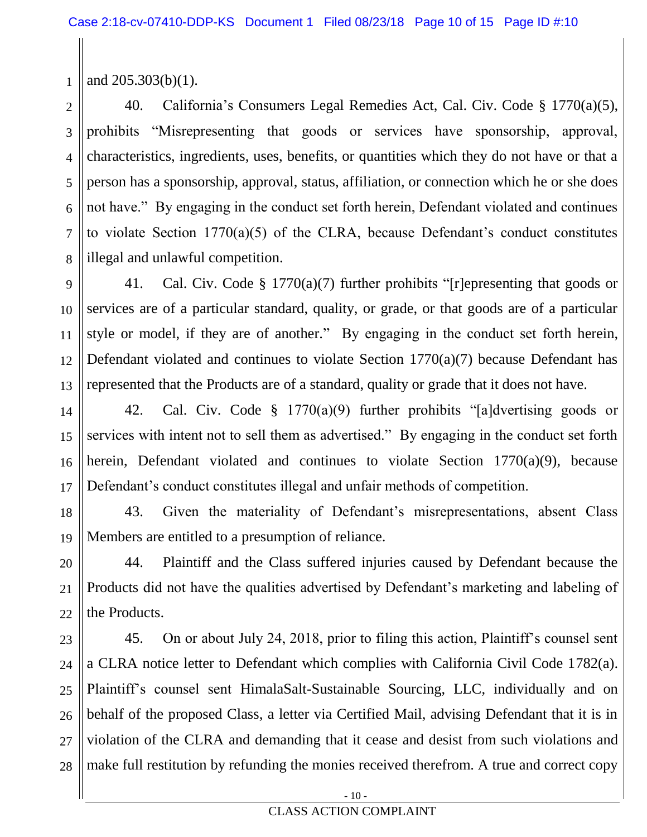1 and 205.303(b)(1).

2 3 4 5 6 7 8 40. California's Consumers Legal Remedies Act, Cal. Civ. Code § 1770(a)(5), prohibits "Misrepresenting that goods or services have sponsorship, approval, characteristics, ingredients, uses, benefits, or quantities which they do not have or that a person has a sponsorship, approval, status, affiliation, or connection which he or she does not have." By engaging in the conduct set forth herein, Defendant violated and continues to violate Section 1770(a)(5) of the CLRA, because Defendant's conduct constitutes illegal and unlawful competition.

9 10 11 12 13 41. Cal. Civ. Code § 1770(a)(7) further prohibits "[r]epresenting that goods or services are of a particular standard, quality, or grade, or that goods are of a particular style or model, if they are of another." By engaging in the conduct set forth herein, Defendant violated and continues to violate Section 1770(a)(7) because Defendant has represented that the Products are of a standard, quality or grade that it does not have.

14 15 16 17 42. Cal. Civ. Code § 1770(a)(9) further prohibits "[a]dvertising goods or services with intent not to sell them as advertised." By engaging in the conduct set forth herein, Defendant violated and continues to violate Section 1770(a)(9), because Defendant's conduct constitutes illegal and unfair methods of competition.

18 19 43. Given the materiality of Defendant's misrepresentations, absent Class Members are entitled to a presumption of reliance.

20 21 22 44. Plaintiff and the Class suffered injuries caused by Defendant because the Products did not have the qualities advertised by Defendant's marketing and labeling of the Products.

23 24 25 26 27 28 45. On or about July 24, 2018, prior to filing this action, Plaintiff's counsel sent a CLRA notice letter to Defendant which complies with California Civil Code 1782(a). Plaintiff's counsel sent HimalaSalt-Sustainable Sourcing, LLC, individually and on behalf of the proposed Class, a letter via Certified Mail, advising Defendant that it is in violation of the CLRA and demanding that it cease and desist from such violations and make full restitution by refunding the monies received therefrom. A true and correct copy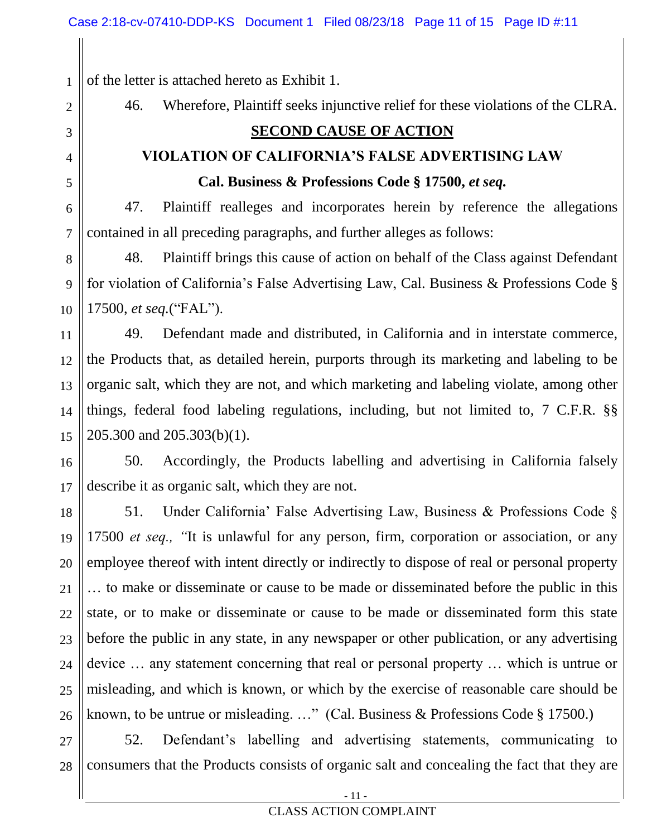1 of the letter is attached hereto as Exhibit 1.

2

3

4

5

6

7

46. Wherefore, Plaintiff seeks injunctive relief for these violations of the CLRA.

# **SECOND CAUSE OF ACTION**

# **VIOLATION OF CALIFORNIA'S FALSE ADVERTISING LAW Cal. Business & Professions Code § 17500,** *et seq.*

47. Plaintiff realleges and incorporates herein by reference the allegations contained in all preceding paragraphs, and further alleges as follows:

8 9 10 48. Plaintiff brings this cause of action on behalf of the Class against Defendant for violation of California's False Advertising Law, Cal. Business & Professions Code § 17500, *et seq.*("FAL").

11 12 13 14 15 49. Defendant made and distributed, in California and in interstate commerce, the Products that, as detailed herein, purports through its marketing and labeling to be organic salt, which they are not, and which marketing and labeling violate, among other things, federal food labeling regulations, including, but not limited to, 7 C.F.R. §§ 205.300 and 205.303(b)(1).

16 17 50. Accordingly, the Products labelling and advertising in California falsely describe it as organic salt, which they are not.

18 19 20 21 22 23 24 25 26 51. Under California' False Advertising Law, Business & Professions Code § 17500 *et seq., "*It is unlawful for any person, firm, corporation or association, or any employee thereof with intent directly or indirectly to dispose of real or personal property … to make or disseminate or cause to be made or disseminated before the public in this state, or to make or disseminate or cause to be made or disseminated form this state before the public in any state, in any newspaper or other publication, or any advertising device … any statement concerning that real or personal property … which is untrue or misleading, and which is known, or which by the exercise of reasonable care should be known, to be untrue or misleading. …" (Cal. Business & Professions Code § 17500.)

27 28 52. Defendant's labelling and advertising statements, communicating to consumers that the Products consists of organic salt and concealing the fact that they are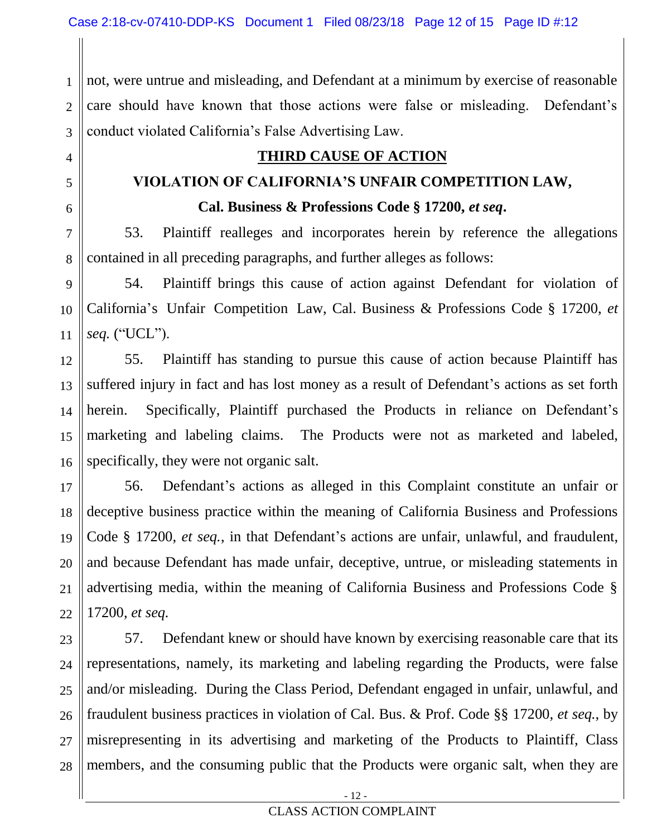4

5

6

9

10

11

1 2 3 not, were untrue and misleading, and Defendant at a minimum by exercise of reasonable care should have known that those actions were false or misleading. Defendant's conduct violated California's False Advertising Law.

# **THIRD CAUSE OF ACTION**

# **VIOLATION OF CALIFORNIA'S UNFAIR COMPETITION LAW,**

**Cal. Business & Professions Code § 17200,** *et seq***.**

7 8 53. Plaintiff realleges and incorporates herein by reference the allegations contained in all preceding paragraphs, and further alleges as follows:

54. Plaintiff brings this cause of action against Defendant for violation of California's Unfair Competition Law, Cal. Business & Professions Code § 17200, *et seq.* ("UCL").

12 13 14 15 16 55. Plaintiff has standing to pursue this cause of action because Plaintiff has suffered injury in fact and has lost money as a result of Defendant's actions as set forth herein. Specifically, Plaintiff purchased the Products in reliance on Defendant's marketing and labeling claims. The Products were not as marketed and labeled, specifically, they were not organic salt.

17 18 19 20 21 22 56. Defendant's actions as alleged in this Complaint constitute an unfair or deceptive business practice within the meaning of California Business and Professions Code § 17200, *et seq.*, in that Defendant's actions are unfair, unlawful, and fraudulent, and because Defendant has made unfair, deceptive, untrue, or misleading statements in advertising media, within the meaning of California Business and Professions Code § 17200, *et seq.*

23 24 25 26 27 28 57. Defendant knew or should have known by exercising reasonable care that its representations, namely, its marketing and labeling regarding the Products, were false and/or misleading. During the Class Period, Defendant engaged in unfair, unlawful, and fraudulent business practices in violation of Cal. Bus. & Prof. Code §§ 17200, *et seq.*, by misrepresenting in its advertising and marketing of the Products to Plaintiff, Class members, and the consuming public that the Products were organic salt, when they are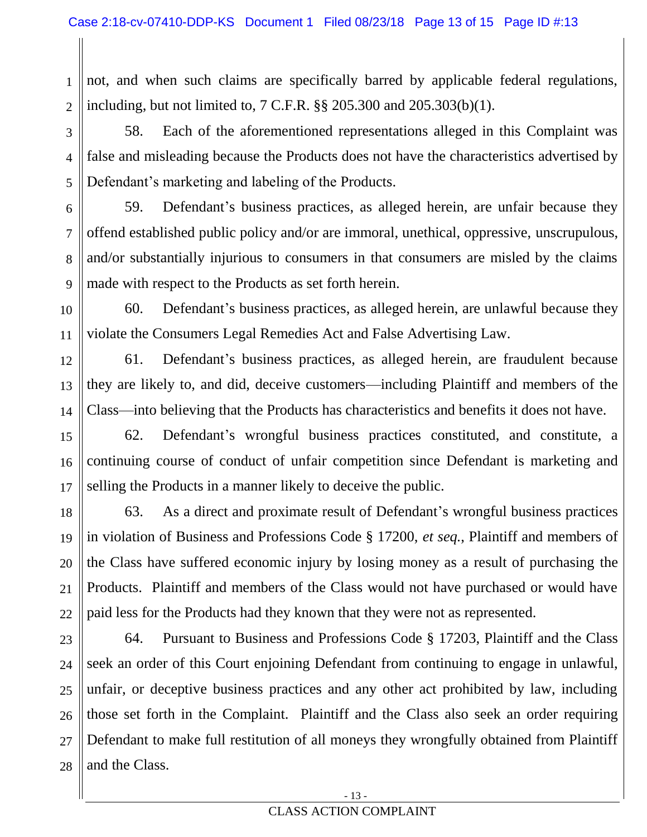1 2 not, and when such claims are specifically barred by applicable federal regulations, including, but not limited to, 7 C.F.R. §§ 205.300 and 205.303(b)(1).

3 4 5 58. Each of the aforementioned representations alleged in this Complaint was false and misleading because the Products does not have the characteristics advertised by Defendant's marketing and labeling of the Products.

6 7 8 9 59. Defendant's business practices, as alleged herein, are unfair because they offend established public policy and/or are immoral, unethical, oppressive, unscrupulous, and/or substantially injurious to consumers in that consumers are misled by the claims made with respect to the Products as set forth herein.

60. Defendant's business practices, as alleged herein, are unlawful because they violate the Consumers Legal Remedies Act and False Advertising Law.

10

11

12

13

14

17

21

61. Defendant's business practices, as alleged herein, are fraudulent because they are likely to, and did, deceive customers—including Plaintiff and members of the Class—into believing that the Products has characteristics and benefits it does not have.

15 16 62. Defendant's wrongful business practices constituted, and constitute, a continuing course of conduct of unfair competition since Defendant is marketing and selling the Products in a manner likely to deceive the public.

18 19 20 22 63. As a direct and proximate result of Defendant's wrongful business practices in violation of Business and Professions Code § 17200, *et seq.*, Plaintiff and members of the Class have suffered economic injury by losing money as a result of purchasing the Products. Plaintiff and members of the Class would not have purchased or would have paid less for the Products had they known that they were not as represented.

23 24 25 26 27 28 64. Pursuant to Business and Professions Code § 17203, Plaintiff and the Class seek an order of this Court enjoining Defendant from continuing to engage in unlawful, unfair, or deceptive business practices and any other act prohibited by law, including those set forth in the Complaint. Plaintiff and the Class also seek an order requiring Defendant to make full restitution of all moneys they wrongfully obtained from Plaintiff and the Class.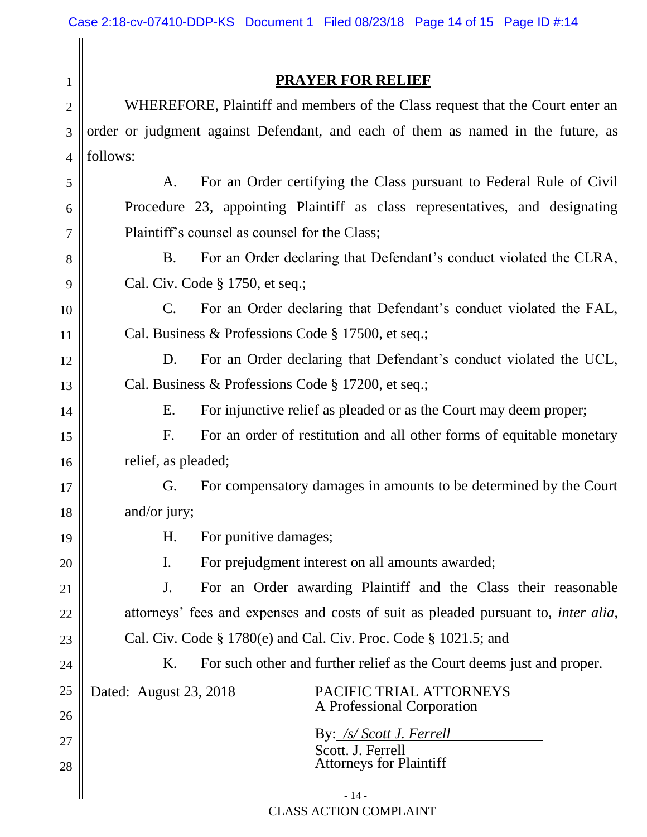|--|

2 3 4 WHEREFORE, Plaintiff and members of the Class request that the Court enter an order or judgment against Defendant, and each of them as named in the future, as follows:

A. For an Order certifying the Class pursuant to Federal Rule of Civil Procedure 23, appointing Plaintiff as class representatives, and designating Plaintiff's counsel as counsel for the Class;

B. For an Order declaring that Defendant's conduct violated the CLRA, Cal. Civ. Code § 1750, et seq.;

C. For an Order declaring that Defendant's conduct violated the FAL, Cal. Business & Professions Code § 17500, et seq.;

D. For an Order declaring that Defendant's conduct violated the UCL, Cal. Business & Professions Code § 17200, et seq.;

E. For injunctive relief as pleaded or as the Court may deem proper;

F. For an order of restitution and all other forms of equitable monetary relief, as pleaded;

G. For compensatory damages in amounts to be determined by the Court and/or jury;

H. For punitive damages;

I. For prejudgment interest on all amounts awarded;

J. For an Order awarding Plaintiff and the Class their reasonable attorneys' fees and expenses and costs of suit as pleaded pursuant to, *inter alia*, Cal. Civ. Code § 1780(e) and Cal. Civ. Proc. Code § 1021.5; and

K. For such other and further relief as the Court deems just and proper.

1

5

6

7

8

9

10

11

12

13

14

15

16

17

18

19

20

21

22

23

24

25

26

27

28

Dated: August 23, 2018 PACIFIC TRIAL ATTORNEYS A Professional Corporation

> By: */s/ Scott J. Ferrell* Scott. J. Ferrell Attorneys for Plaintiff

- 14 - CLASS ACTION COMPLAINT